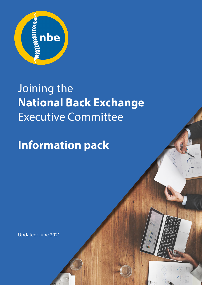

# Joining the **National Back Exchange**  Executive Committee

# **Information pack**

Updated: June 2021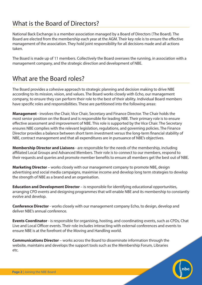## What is the Board of Directors?

National Back Exchange is a member association managed by a Board of Directors (The Board). The Board are elected from the membership each year at the AGM. Their key role is to ensure the effective management of the association. They hold joint responsibility for all decisions made and all actions taken.

The Board is made up of 11 members. Collectively the Board oversees the running, in association with a management company, and the strategic direction and development of NBE.

# What are the Board roles?

The Board provides a cohesive approach to strategic planning and decision making to drive NBE according to its mission, vision, and values. The Board works closely with Echo, our management company, to ensure they can perform their role to the best of their ability. Individual Board members have specific roles and responsibilities. These are partitioned into the following areas:

**Management** - involves the Chair, Vice Chair, Secretary and Finance Director. The Chair holds the most senior position on the Board and is responsible for leading NBE. Their primary role is to ensure effective assessment and improvement of NBE. This role is supported by the Vice Chair. The Secretary ensures NBE complies with the relevant legislation, regulations, and governing policies. The Finance Director provides a balance between short term investment versus the long-term financial stability of NBE, contract management and that all expenditures are in pursuance of NBE's objectives.

**Membership Director and Liaisons** - are responsible for the needs of the membership, including affiliated Local Groups and Advanced Members. Their role is to connect to our members, respond to their requests and queries and promote member benefits to ensure all members get the best out of NBE.

**Marketing Director** – works closely with our management company to promote NBE, design advertising and social media campaigns, maximise income and develop long term strategies to develop the strength of NBE as a brand and an organisation.

**Education and Development Director** – is responsible for identifying educational opportunities, arranging CPD events and designing programmes that will enable NBE and its membership to constantly evolve and develop.

**Conference Director** - works closely with our management company Echo, to design, develop and deliver NBE's annual conference.

**Events Coordinator** - is responsible for organising, hosting, and coordinating events, such as CPDs, Chat Live and Local Officer events. Their role includes interacting with external conferences and events to ensure NBE is at the forefront of the Moving and Handling world.

**Communications Director** – works across the Board to disseminate information through the website, maintains and develops the support tools such as the Membership Forum, Libraries etc.

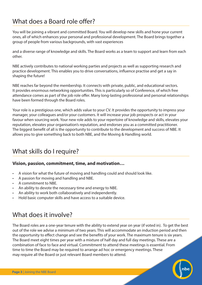# What does a Board role offer?

You will be joining a vibrant and committed Board. You will develop new skills and hone your current ones, all of which enhances your personal and professional development. The Board brings together a group of people from various backgrounds, with vast experiences

and a diverse range of knowledge and skills. The Board works as a team to support and learn from each other.

NBE actively contributes to national working parties and projects as well as supporting research and practice development. This enables you to drive conversations, influence practise and get a say in shaping the future!

NBE reaches far beyond the membership. It connects with private, public, and educational sectors. It provides enormous networking opportunities. This is particularly so of Conference, of which free attendance comes as part of the job role offer. Many long-lasting professional and personal relationships have been formed through the Board roles.

Your role is a prestigious one, which adds value to your CV. It provides the opportunity to impress your manager, your colleagues and/or your customers. It will increase your job prospects or act in your favour when sourcing work. Your new role adds to your repertoire of knowledge and skills, elevates your reputation, elevates your organisation's reputation, and endorses you as a committed practitioner. The biggest benefit of all is the opportunity to contribute to the development and success of NBE. It allows you to give something back to both NBE, and the Moving & Handling world.

# What skills do I require?

#### **Vision, passion, commitment, time, and motivation…**

- A vision for what the future of moving and handling could and should look like.
- A passion for moving and handling and NBE.
- A commitment to NBE.
- An ability to devote the necessary time and energy to NBE.
- An ability to work both collaboratively and independently.
- Hold basic computer skills and have access to a suitable device.

## What does it involve?

The Board roles are a one-year tenure with the ability to extend year on year (if voted in). To get the best out of the role we advise a minimum of two years. This will accommodate an induction period and then the opportunity to effect change and see the benefits of your work. The maximum tenure is six years. The Board meet eight times per year with a mixture of half day and full day meetings. These are a combination of face to face and virtual. Commitment to attend these meetings is essential. From time to time the Board may be required to arrange ad hoc or emergency meetings. These may require all the Board or just relevant Board members to attend.

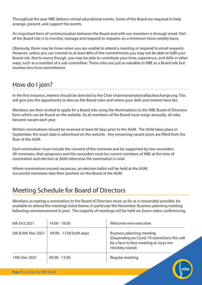Throughout the year NBE delivers virtual educational events. Some of the Board are required to help arrange, present, and support the events.

An important form of communication between the Board and with our members is through email. Part of the Board role is to monitor, manage and respond to requests on a minimum twice weekly basis.

Obviously, there may be times when you are unable to attend a meeting or respond to email requests. However, unless you can commit to at least 80% of the commitments you may not be able to fulfil your Board role. Not to worry though, you may be able to contribute your time, experience, and skills in other ways, such as a member of a sub-committee. These roles are just as valuable to NBE as a Board role but involves less time commitment.

# How do I join?

In the first instance, interest should be directed to the Chair chairman@nationalbackexchange.org. This will give you the opportunity to discuss the Board roles and where your skills and interest best lies.

Members are then invited to apply for a Board role using the Nominations to the NBE Board of Directors form which can be found on the website. As all members of the Board must resign annually, all roles become vacant each year.

Written nominations should be received at least 60 days prior to the AGM. The AGM takes place in September, the exact date is advertised on the website. Any remaining vacant posts are filled from the floor at the AGM.

Each nomination must include the consent of the nominee and be supported by two seconders. All nominees, their proposers and the seconders must be current members of NBE at the time of nomination and election at AGM otherwise the nomination is void.

Where nominations exceed vacancies, an election ballot will be held at the AGM. Successful nominees take their position on the Board at the AGM.

## Meeting Schedule for Board of Directors

Members accepting a nomination to the Board of Directors must, as far as is reasonably possible, be available to attend the meetings listed below, in particular the November Business planning meeting following commencement in post. The majority of meetings will be held via Zoom video conferencing.

| 6th Oct 2021       | 14.00 - 18.00           | Welcome new executive                                                                                                                           |
|--------------------|-------------------------|-------------------------------------------------------------------------------------------------------------------------------------------------|
| 5th & 6th Nov 2021 | 09.00 - 17.00 both days | <b>Business planning meeting</b><br>(Depending on Covid 19 restrictions this will<br>be a face to face meeting at Jurys Inn<br>Hinckley Island) |
| 14th Dec 2021      | $09.00 - 13.00$         | Regular meeting                                                                                                                                 |